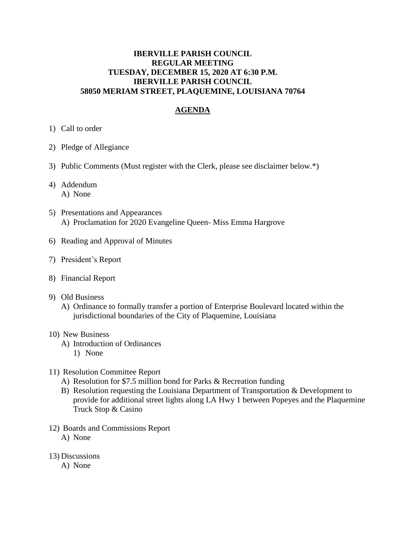# **IBERVILLE PARISH COUNCIL REGULAR MEETING TUESDAY, DECEMBER 15, 2020 AT 6:30 P.M. IBERVILLE PARISH COUNCIL 58050 MERIAM STREET, PLAQUEMINE, LOUISIANA 70764**

# **AGENDA**

- 1) Call to order
- 2) Pledge of Allegiance
- 3) Public Comments (Must register with the Clerk, please see disclaimer below.\*)
- 4) Addendum A) None
- 5) Presentations and Appearances A) Proclamation for 2020 Evangeline Queen- Miss Emma Hargrove
- 6) Reading and Approval of Minutes
- 7) President's Report
- 8) Financial Report
- 9) Old Business
	- A) Ordinance to formally transfer a portion of Enterprise Boulevard located within the jurisdictional boundaries of the City of Plaquemine, Louisiana

#### 10) New Business

- A) Introduction of Ordinances
	- 1) None
- 11) Resolution Committee Report
	- A) Resolution for \$7.5 million bond for Parks & Recreation funding
	- B) Resolution requesting the Louisiana Department of Transportation & Development to provide for additional street lights along LA Hwy 1 between Popeyes and the Plaquemine Truck Stop & Casino
- 12) Boards and Commissions Report A) None
- 13) Discussions
	- A) None